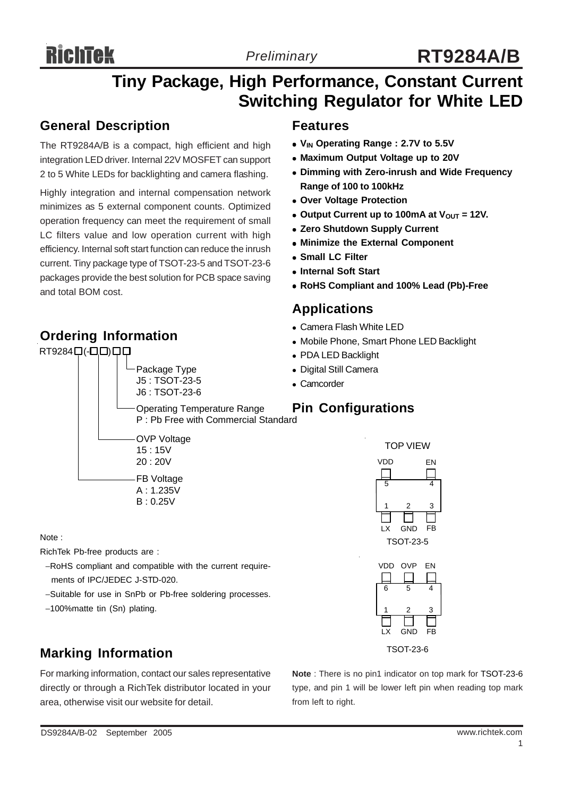# **Tiny Package, High Performance, Constant Current Switching Regulator for White LED**

### **General Description**

The RT9284A/B is a compact, high efficient and high integration LED driver. Internal 22V MOSFET can support 2 to 5 White LEDs for backlighting and camera flashing.

Highly integration and internal compensation network minimizes as 5 external component counts. Optimized operation frequency can meet the requirement of small LC filters value and low operation current with high efficiency. Internal soft start function can reduce the inrush current. Tiny package type of TSOT-23-5 and TSOT-23-6 packages provide the best solution for PCB space saving and total BOM cost.

### **Ordering Information**

# RT9284ロ(-ロロ)

# **Features**

- <sup>z</sup> **VIN Operating Range : 2.7V to 5.5V**
- **Maximum Output Voltage up to 20V**
- **Dimming with Zero-inrush and Wide Frequency Range of 100 to 100kHz**
- **Over Voltage Protection**
- Output Current up to 100mA at  $V_{OUT} = 12V$ .
- **Zero Shutdown Supply Current**
- **Minimize the External Component**
- $\bullet$  **Small LC Filter**
- $\bullet$  **Internal Soft Start**
- <sup>z</sup> **RoHS Compliant and 100% Lead (Pb)-Free**

### **Applications**

- Camera Flash White LED
- Mobile Phone, Smart Phone LED Backlight
- PDA LED Backlight
- Digital Still Camera
- Camcorder

## **Pin Configurations**



Package Type J5 : TSOT-23-5 J6 : TSOT-23-6

Operating Temperature Range

Note :

RichTek Pb-free products are :

- −RoHS compliant and compatible with the current require ments of IPC/JEDEC J-STD-020.
- −Suitable for use in SnPb or Pb-free soldering processes.
- −100%matte tin (Sn) plating.

## **Marking Information**

For marking information, contact our sales representative directly or through a RichTek distributor located in your area, otherwise visit our website for detail.





TSOT-23-6

**Note** : There is no pin1 indicator on top mark for TSOT-23-6 type, and pin 1 will be lower left pin when reading top mark from left to right.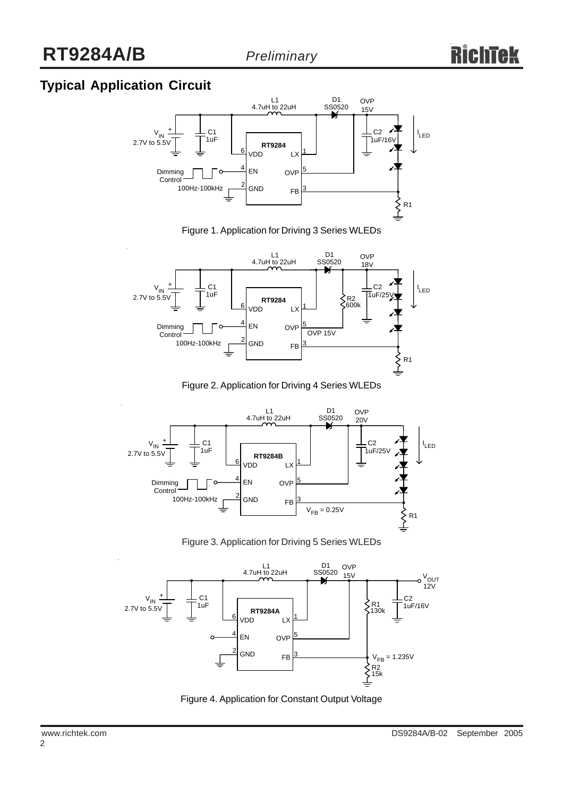# **Typical Application Circuit**







Figure 2. Application for Driving 4 Series WLEDs



Figure 3. Application for Driving 5 Series WLEDs



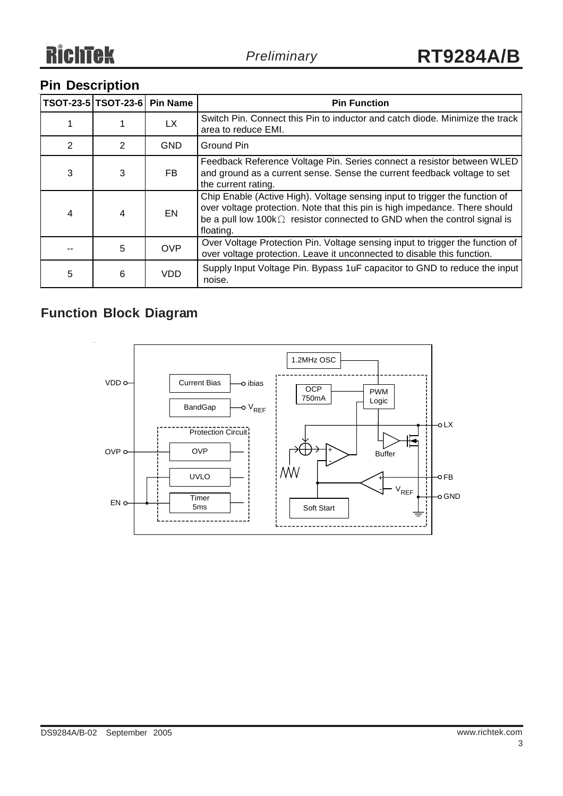# **Pin Description**

|                | TSOT-23-5   TSOT-23-6   Pin Name |            | <b>Pin Function</b>                                                                                                                                                                                                                                        |
|----------------|----------------------------------|------------|------------------------------------------------------------------------------------------------------------------------------------------------------------------------------------------------------------------------------------------------------------|
|                |                                  | <b>LX</b>  | Switch Pin. Connect this Pin to inductor and catch diode. Minimize the track<br>area to reduce EMI.                                                                                                                                                        |
| 2              | 2                                | <b>GND</b> | Ground Pin                                                                                                                                                                                                                                                 |
| 3              | 3                                | FB.        | Feedback Reference Voltage Pin. Series connect a resistor between WLED<br>and ground as a current sense. Sense the current feedback voltage to set<br>the current rating.                                                                                  |
| $\overline{4}$ | 4                                | EN         | Chip Enable (Active High). Voltage sensing input to trigger the function of<br>over voltage protection. Note that this pin is high impedance. There should<br>be a pull low $100k\Omega$ resistor connected to GND when the control signal is<br>floating. |
|                | 5                                | <b>OVP</b> | Over Voltage Protection Pin. Voltage sensing input to trigger the function of<br>over voltage protection. Leave it unconnected to disable this function.                                                                                                   |
| 5              | 6                                | <b>VDD</b> | Supply Input Voltage Pin. Bypass 1uF capacitor to GND to reduce the input<br>noise.                                                                                                                                                                        |

# **Function Block Diagram**

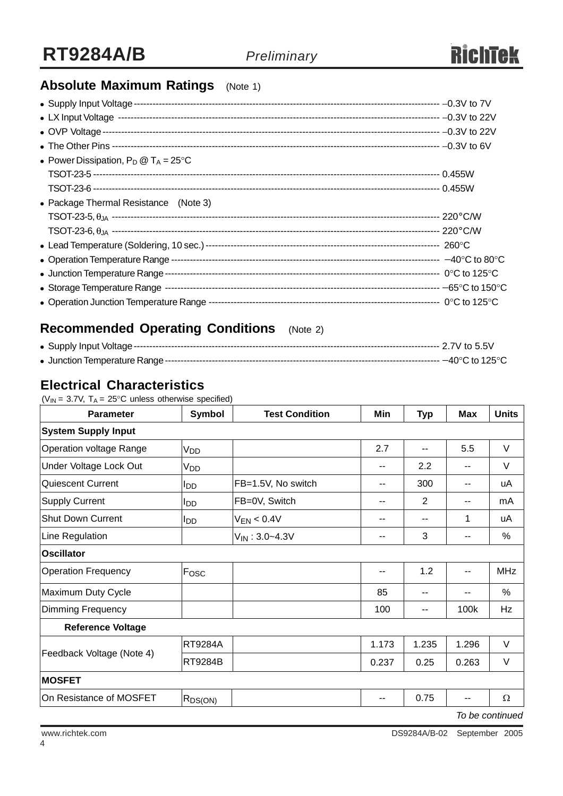# **Absolute Maximum Ratings** (Note 1)

| • Power Dissipation, $P_D @ T_A = 25^{\circ}C$ |  |
|------------------------------------------------|--|
|                                                |  |
|                                                |  |
| • Package Thermal Resistance (Note 3)          |  |
|                                                |  |
|                                                |  |
|                                                |  |
|                                                |  |
| • Junction Temperature Range -                 |  |
|                                                |  |
|                                                |  |
|                                                |  |

## **Recommended Operating Conditions** (Note 2)

### **Electrical Characteristics**

( $V_{IN}$  = 3.7V,  $T_A$  = 25°C unless otherwise specified)

| <b>Parameter</b>           | Symbol                 | <b>Test Condition</b> | Min   | <b>Typ</b> | Max   | <b>Units</b> |  |  |
|----------------------------|------------------------|-----------------------|-------|------------|-------|--------------|--|--|
| <b>System Supply Input</b> |                        |                       |       |            |       |              |  |  |
| Operation voltage Range    | V <sub>DD</sub>        |                       | 2.7   | --         | 5.5   | $\vee$       |  |  |
| Under Voltage Lock Out     | V <sub>DD</sub>        |                       | --    | 2.2        | --    | V            |  |  |
| Quiescent Current          | l <sub>DD</sub>        | FB=1.5V, No switch    | --    | 300        |       | uA           |  |  |
| <b>Supply Current</b>      | <b>I</b> <sub>DD</sub> | FB=0V, Switch         | --    | 2          | --    | mA           |  |  |
| <b>Shut Down Current</b>   | <b>I</b> <sub>DD</sub> | $V_{EN}$ < 0.4V       | --    | --         | 1     | uA           |  |  |
| Line Regulation            |                        | $V_{IN}$ : 3.0~4.3V   | --    | 3          |       | %            |  |  |
| <b>Oscillator</b>          |                        |                       |       |            |       |              |  |  |
| <b>Operation Frequency</b> | Fosc                   |                       | $-$   | 1.2        | $-$   | <b>MHz</b>   |  |  |
| Maximum Duty Cycle         |                        |                       | 85    | --         |       | $\%$         |  |  |
| <b>Dimming Frequency</b>   |                        |                       | 100   | --         | 100k  | Hz           |  |  |
| <b>Reference Voltage</b>   |                        |                       |       |            |       |              |  |  |
|                            | <b>RT9284A</b>         |                       | 1.173 | 1.235      | 1.296 | V            |  |  |
| Feedback Voltage (Note 4)  | RT9284B                |                       | 0.237 | 0.25       | 0.263 | V            |  |  |
| <b>MOSFET</b>              |                        |                       |       |            |       |              |  |  |
| On Resistance of MOSFET    | R <sub>DS(ON)</sub>    |                       | --    | 0.75       | --    | Ω            |  |  |

*To be continued*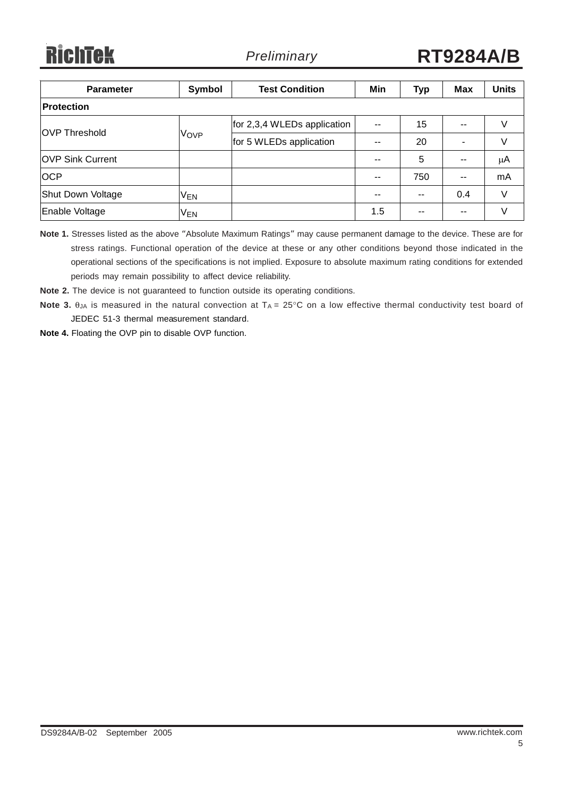| <b>Parameter</b>        | Symbol          | <b>Test Condition</b>       | Min  | Typ   | <b>Max</b> | <b>Units</b> |
|-------------------------|-----------------|-----------------------------|------|-------|------------|--------------|
| Protection              |                 |                             |      |       |            |              |
|                         | Vovp            | for 2,3,4 WLEDs application | $ -$ | 15    | $-$        | V            |
| <b>OVP Threshold</b>    |                 | for 5 WLEDs application     |      | 20    |            | V            |
| <b>OVP Sink Current</b> |                 |                             |      | 5     | --         | μA           |
| <b>OCP</b>              |                 |                             |      | 750   | --         | mA           |
| Shut Down Voltage       | V <sub>EN</sub> |                             |      | $- -$ | 0.4        | V            |
| Enable Voltage          | V <sub>EN</sub> |                             | 1.5  | --    | --         | V            |

**Note 1.** Stresses listed as the above "Absolute Maximum Ratings" may cause permanent damage to the device. These are for stress ratings. Functional operation of the device at these or any other conditions beyond those indicated in the operational sections of the specifications is not implied. Exposure to absolute maximum rating conditions for extended periods may remain possibility to affect device reliability.

**Note 2.** The device is not guaranteed to function outside its operating conditions.

**Note 3.**  $\theta_{JA}$  is measured in the natural convection at  $T_A = 25^\circ \text{C}$  on a low effective thermal conductivity test board of JEDEC 51-3 thermal measurement standard.

**Note 4.** Floating the OVP pin to disable OVP function.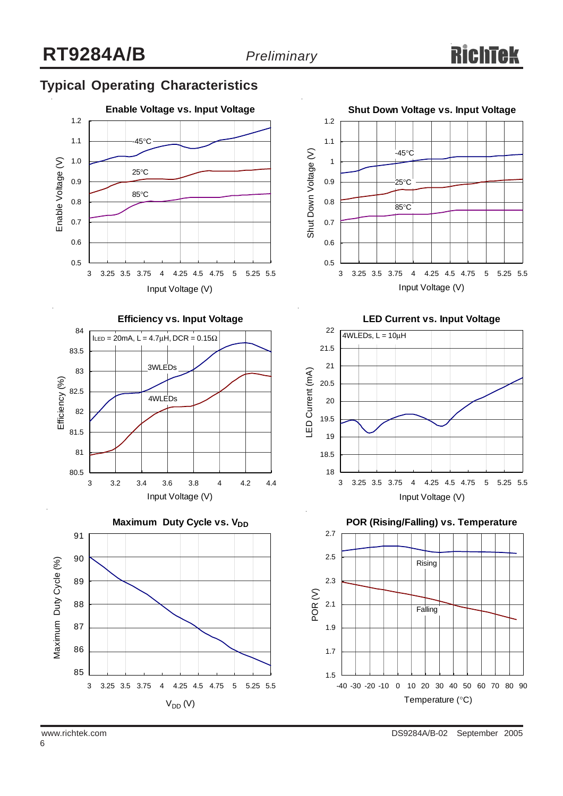# **Typical Operating Characteristics**







**Shut Down Voltage vs. Input Voltage** 1.2 1.1 Shut Down Voltage (V) -45°C Shut Down Voltage (V) 1 0.9 <sub>.</sub><br>25°C 0.8  $85^{\circ}$ C 0.7 0.6 0.5

3 3.25 3.5 3.75 4 4.25 4.5 4.75 5 5.25 5.5 Input Voltage (V)



**POR (Rising/Falling) vs. Temperature**

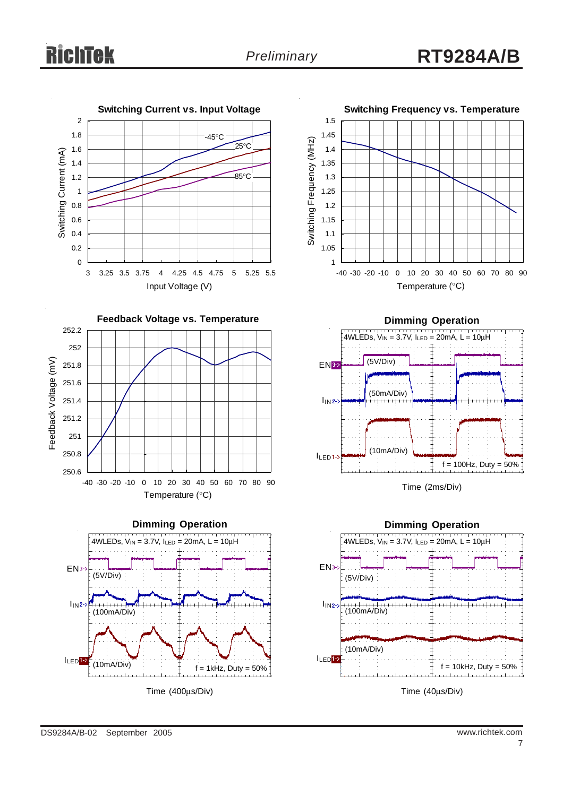









Time (2ms/Div)



Time (40μs/Div)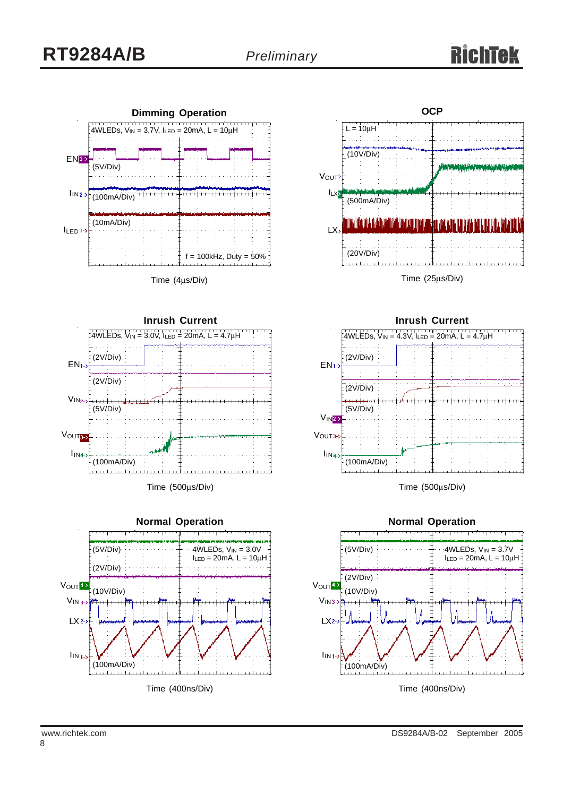

Time (4μs/Div)



Time (500μs/Div)





**Inrush Current**  $4WLEDs, V_{IN} = 4.3V, I_{LED} = 20mA, L = 4.7µH$ (2V/Div)  $EN1-$ (2V/Div) (5V/Div)  $V_{1N}$ <sub>2-></sub> VOUT3-2  $\mathsf{I}_{\mathsf{IN4}}$ (100mA/Div) n etnisti

Time (500μs/Div)



8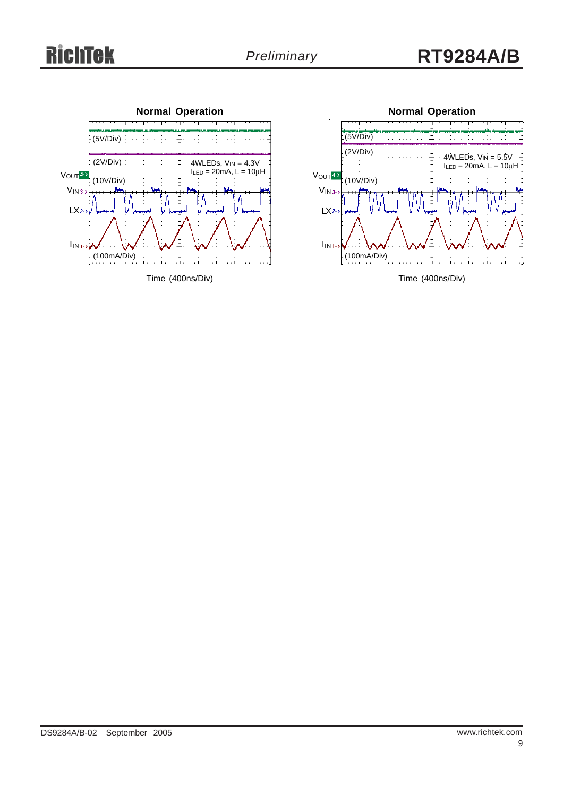



Time (400ns/Div)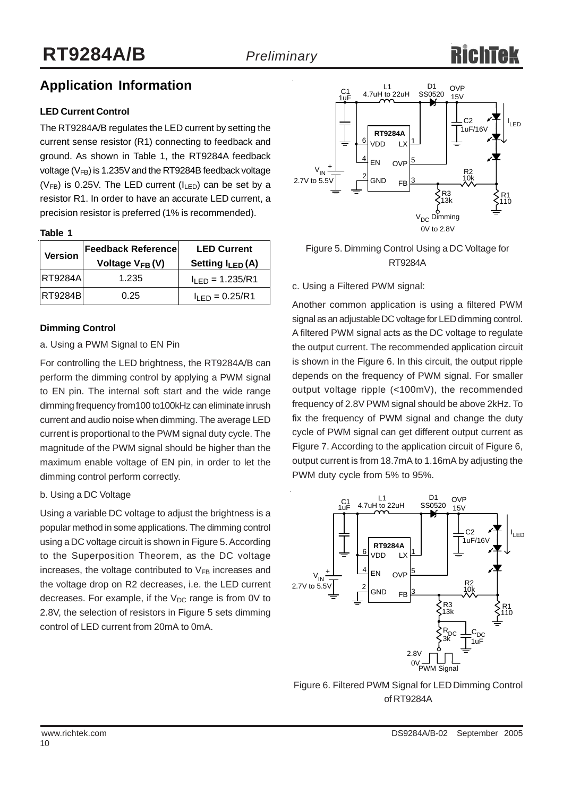## **Application Information**

### **LED Current Control**

The RT9284A/B regulates the LED current by setting the current sense resistor (R1) connecting to feedback and ground. As shown in Table 1, the RT9284A feedback voltage ( $V_{FB}$ ) is 1.235V and the RT9284B feedback voltage ( $V_{FB}$ ) is 0.25V. The LED current ( $I_{LED}$ ) can be set by a resistor R1. In order to have an accurate LED current, a precision resistor is preferred (1% is recommended).

| --<br>۰.<br>٧ | ۰, |  |
|---------------|----|--|
|               |    |  |

| <b>Version</b> | <b>Feedback Reference</b><br>Voltage V <sub>FB</sub> (V) | <b>LED Current</b><br>Setting $I_{LED}(A)$ |  |
|----------------|----------------------------------------------------------|--------------------------------------------|--|
| <b>RT9284A</b> | 1.235                                                    | $I_{LED} = 1.235/RI$                       |  |
| <b>RT9284B</b> | 0.25                                                     | $IIFD = 0.25/R1$                           |  |

### **Dimming Control**

### a. Using a PWM Signal to EN Pin

For controlling the LED brightness, the RT9284A/B can perform the dimming control by applying a PWM signal to EN pin. The internal soft start and the wide range dimming frequency from100 to100kHz can eliminate inrush current and audio noise when dimming. The average LED current is proportional to the PWM signal duty cycle. The magnitude of the PWM signal should be higher than the maximum enable voltage of EN pin, in order to let the dimming control perform correctly.

### b. Using a DC Voltage

Using a variable DC voltage to adjust the brightness is a popular method in some applications. The dimming control using a DC voltage circuit is shown in Figure 5. According to the Superposition Theorem, as the DC voltage increases, the voltage contributed to  $V_{FB}$  increases and the voltage drop on R2 decreases, i.e. the LED current decreases. For example, if the  $V_{DC}$  range is from 0V to 2.8V, the selection of resistors in Figure 5 sets dimming control of LED current from 20mA to 0mA.



Figure 5. Dimming Control Using a DC Voltage for RT9284A

### c. Using a Filtered PWM signal:

Another common application is using a filtered PWM signal as an adjustable DC voltage for LED dimming control. A filtered PWM signal acts as the DC voltage to regulate the output current. The recommended application circuit is shown in the Figure 6. In this circuit, the output ripple depends on the frequency of PWM signal. For smaller output voltage ripple (<100mV), the recommended frequency of 2.8V PWM signal should be above 2kHz. To fix the frequency of PWM signal and change the duty cycle of PWM signal can get different output current as Figure 7. According to the application circuit of Figure 6, output current is from 18.7mA to 1.16mA by adjusting the PWM duty cycle from 5% to 95%.



Figure 6. Filtered PWM Signal for LED Dimming Control of RT9284A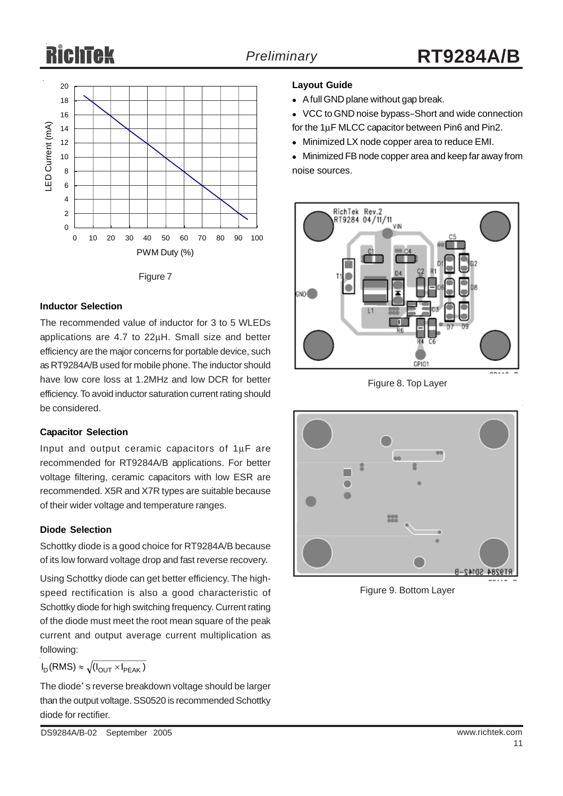

Figure 7

### **Inductor Selection**

The recommended value of inductor for 3 to 5 WLEDs applications are 4.7 to 22μH. Small size and better efficiency are the major concerns for portable device, such as RT9284A/B used for mobile phone. The inductor should have low core loss at 1.2MHz and low DCR for better efficiency. To avoid inductor saturation current rating should be considered.

### **Capacitor Selection**

Input and output ceramic capacitors of 1μF are recommended for RT9284A/B applications. For better voltage filtering, ceramic capacitors with low ESR are recommended. X5R and X7R types are suitable because of their wider voltage and temperature ranges.

### **Diode Selection**

Schottky diode is a good choice for RT9284A/B because of its low forward voltage drop and fast reverse recovery.

Using Schottky diode can get better efficiency. The highspeed rectification is also a good characteristic of Schottky diode for high switching frequency. Current rating of the diode must meet the root mean square of the peak current and output average current multiplication as following:

$$
I_D(\text{RMS}) \approx \sqrt{ (I_{\text{OUT}} \times I_{\text{PEAK}} )}
$$

The diode' s reverse breakdown voltage should be larger than the output voltage. SS0520 is recommended Schottky diode for rectifier.

### **Layout Guide**

• A full GND plane without gap break.

• VCC to GND noise bypass–Short and wide connection

- for the 1μF MLCC capacitor between Pin6 and Pin2.
- Minimized LX node copper area to reduce EMI.

• Minimized FB node copper area and keep far away from noise sources.



Figure 8. Top Layer



Figure 9. Bottom Layer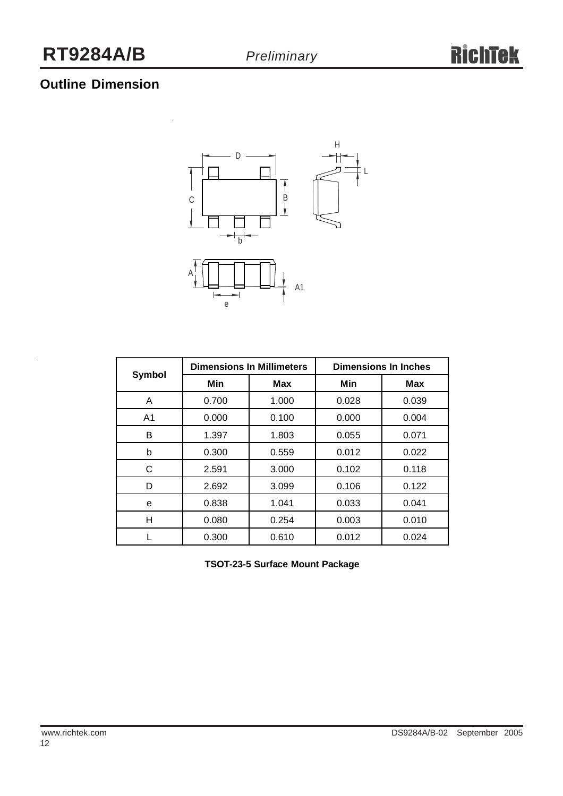# **Outline Dimension**



|                |       | <b>Dimensions In Millimeters</b> | <b>Dimensions In Inches</b> |            |  |
|----------------|-------|----------------------------------|-----------------------------|------------|--|
| Symbol         | Min   | Max                              | Min                         | <b>Max</b> |  |
| A              | 0.700 | 1.000                            | 0.028                       | 0.039      |  |
| A <sub>1</sub> | 0.000 | 0.100                            | 0.000                       | 0.004      |  |
| в              | 1.397 | 1.803                            | 0.055                       | 0.071      |  |
| b              | 0.300 | 0.559                            | 0.012                       | 0.022      |  |
| С              | 2.591 | 3.000                            | 0.102                       | 0.118      |  |
| D              | 2.692 | 3.099                            | 0.106                       | 0.122      |  |
| e              | 0.838 | 1.041                            | 0.033                       | 0.041      |  |
| н              | 0.080 | 0.254                            | 0.003                       | 0.010      |  |
|                | 0.300 | 0.610                            | 0.012                       | 0.024      |  |

**TSOT-23-5 Surface Mount Package**